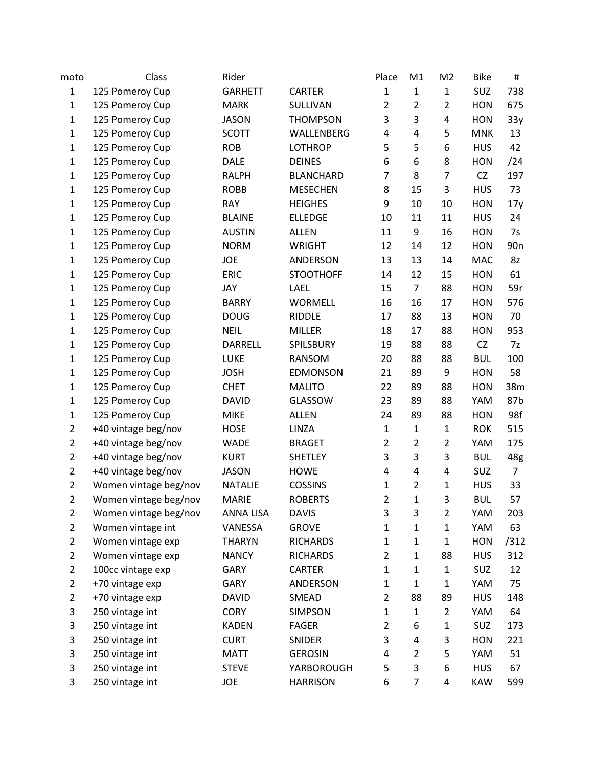| moto           | Class                 | Rider          |                  | Place          | M1             | M <sub>2</sub> | <b>Bike</b> | #               |
|----------------|-----------------------|----------------|------------------|----------------|----------------|----------------|-------------|-----------------|
| $\mathbf{1}$   | 125 Pomeroy Cup       | <b>GARHETT</b> | <b>CARTER</b>    | $\mathbf 1$    | $\mathbf{1}$   | $\mathbf{1}$   | SUZ         | 738             |
| $\mathbf 1$    | 125 Pomeroy Cup       | <b>MARK</b>    | SULLIVAN         | $\overline{2}$ | $\overline{2}$ | $\overline{2}$ | <b>HON</b>  | 675             |
| $\mathbf{1}$   | 125 Pomeroy Cup       | <b>JASON</b>   | <b>THOMPSON</b>  | 3              | 3              | 4              | <b>HON</b>  | 33y             |
| $\mathbf{1}$   | 125 Pomeroy Cup       | <b>SCOTT</b>   | WALLENBERG       | 4              | $\overline{4}$ | 5              | <b>MNK</b>  | 13              |
| $\mathbf{1}$   | 125 Pomeroy Cup       | <b>ROB</b>     | <b>LOTHROP</b>   | 5              | 5              | 6              | <b>HUS</b>  | 42              |
| $\mathbf 1$    | 125 Pomeroy Cup       | <b>DALE</b>    | <b>DEINES</b>    | 6              | 6              | 8              | <b>HON</b>  | /24             |
| $\mathbf{1}$   | 125 Pomeroy Cup       | <b>RALPH</b>   | <b>BLANCHARD</b> | $\overline{7}$ | 8              | $\overline{7}$ | CZ          | 197             |
| $\mathbf{1}$   | 125 Pomeroy Cup       | <b>ROBB</b>    | <b>MESECHEN</b>  | 8              | 15             | 3              | <b>HUS</b>  | 73              |
| $\mathbf 1$    | 125 Pomeroy Cup       | <b>RAY</b>     | <b>HEIGHES</b>   | 9              | 10             | 10             | <b>HON</b>  | 17y             |
| $\mathbf{1}$   | 125 Pomeroy Cup       | <b>BLAINE</b>  | <b>ELLEDGE</b>   | 10             | 11             | 11             | <b>HUS</b>  | 24              |
| $\mathbf{1}$   | 125 Pomeroy Cup       | <b>AUSTIN</b>  | <b>ALLEN</b>     | 11             | 9              | 16             | <b>HON</b>  | 7s              |
| $\mathbf{1}$   | 125 Pomeroy Cup       | <b>NORM</b>    | <b>WRIGHT</b>    | 12             | 14             | 12             | <b>HON</b>  | 90 <sub>n</sub> |
| $\mathbf{1}$   | 125 Pomeroy Cup       | JOE            | ANDERSON         | 13             | 13             | 14             | <b>MAC</b>  | 8z              |
| $\mathbf{1}$   | 125 Pomeroy Cup       | ERIC           | <b>STOOTHOFF</b> | 14             | 12             | 15             | <b>HON</b>  | 61              |
| $\mathbf{1}$   | 125 Pomeroy Cup       | JAY            | LAEL             | 15             | $\overline{7}$ | 88             | <b>HON</b>  | 59r             |
| $\mathbf 1$    | 125 Pomeroy Cup       | <b>BARRY</b>   | <b>WORMELL</b>   | 16             | 16             | 17             | <b>HON</b>  | 576             |
| $\mathbf{1}$   | 125 Pomeroy Cup       | <b>DOUG</b>    | <b>RIDDLE</b>    | 17             | 88             | 13             | <b>HON</b>  | 70              |
| $\mathbf{1}$   | 125 Pomeroy Cup       | <b>NEIL</b>    | <b>MILLER</b>    | 18             | 17             | 88             | <b>HON</b>  | 953             |
| $\mathbf{1}$   | 125 Pomeroy Cup       | DARRELL        | SPILSBURY        | 19             | 88             | 88             | CZ          | 7z              |
| $\mathbf{1}$   | 125 Pomeroy Cup       | LUKE           | RANSOM           | 20             | 88             | 88             | <b>BUL</b>  | 100             |
| $\mathbf{1}$   | 125 Pomeroy Cup       | <b>JOSH</b>    | <b>EDMONSON</b>  | 21             | 89             | 9              | <b>HON</b>  | 58              |
| $\mathbf{1}$   | 125 Pomeroy Cup       | <b>CHET</b>    | <b>MALITO</b>    | 22             | 89             | 88             | <b>HON</b>  | 38m             |
| $\mathbf{1}$   | 125 Pomeroy Cup       | <b>DAVID</b>   | GLASSOW          | 23             | 89             | 88             | YAM         | 87b             |
| $\mathbf{1}$   | 125 Pomeroy Cup       | <b>MIKE</b>    | <b>ALLEN</b>     | 24             | 89             | 88             | <b>HON</b>  | 98f             |
| $\overline{2}$ | +40 vintage beg/nov   | <b>HOSE</b>    | LINZA            | $\mathbf 1$    | $\mathbf{1}$   | $\mathbf{1}$   | <b>ROK</b>  | 515             |
| $\overline{2}$ | +40 vintage beg/nov   | <b>WADE</b>    | <b>BRAGET</b>    | $\overline{2}$ | $\overline{2}$ | $\overline{2}$ | YAM         | 175             |
| $\overline{2}$ | +40 vintage beg/nov   | <b>KURT</b>    | <b>SHETLEY</b>   | 3              | 3              | 3              | <b>BUL</b>  | 48g             |
| $\overline{2}$ | +40 vintage beg/nov   | <b>JASON</b>   | <b>HOWE</b>      | 4              | $\overline{4}$ | 4              | SUZ         | $\overline{7}$  |
| $\overline{2}$ | Women vintage beg/nov | <b>NATALIE</b> | <b>COSSINS</b>   | $\mathbf 1$    | $\overline{2}$ | $\mathbf{1}$   | <b>HUS</b>  | 33              |
| $\overline{2}$ | Women vintage beg/nov | <b>MARIE</b>   | <b>ROBERTS</b>   | $\overline{2}$ | $\mathbf{1}$   | 3              | <b>BUL</b>  | 57              |
| $\overline{2}$ | Women vintage beg/nov | ANNA LISA      | <b>DAVIS</b>     | 3              | 3              | $\overline{2}$ | YAM         | 203             |
| $\overline{2}$ | Women vintage int     | VANESSA        | <b>GROVE</b>     | 1              | 1              | $\mathbf{1}$   | YAM         | 63              |
| $\overline{2}$ | Women vintage exp     | <b>THARYN</b>  | <b>RICHARDS</b>  | $\mathbf 1$    | $\mathbf{1}$   | $\mathbf{1}$   | <b>HON</b>  | /312            |
| $\overline{2}$ | Women vintage exp     | <b>NANCY</b>   | <b>RICHARDS</b>  | $\overline{2}$ | 1              | 88             | <b>HUS</b>  | 312             |
| $\overline{2}$ | 100cc vintage exp     | <b>GARY</b>    | CARTER           | $\mathbf 1$    | 1              | $\mathbf 1$    | SUZ         | 12              |
| $\overline{2}$ | +70 vintage exp       | GARY           | ANDERSON         | $\mathbf 1$    | $\mathbf{1}$   | $\mathbf{1}$   | YAM         | 75              |
| $\overline{2}$ | +70 vintage exp       | <b>DAVID</b>   | SMEAD            | $\overline{2}$ | 88             | 89             | <b>HUS</b>  | 148             |
| 3              | 250 vintage int       | <b>CORY</b>    | <b>SIMPSON</b>   | $\mathbf{1}$   | 1              | $\overline{2}$ | YAM         | 64              |
| 3              | 250 vintage int       | <b>KADEN</b>   | <b>FAGER</b>     | $\overline{2}$ | 6              | 1              | SUZ         | 173             |
| 3              | 250 vintage int       | <b>CURT</b>    | SNIDER           | 3              | 4              | 3              | <b>HON</b>  | 221             |
| 3              | 250 vintage int       | <b>MATT</b>    | <b>GEROSIN</b>   | 4              | $\overline{2}$ | 5              | YAM         | 51              |
| 3              | 250 vintage int       | <b>STEVE</b>   | YARBOROUGH       | 5              | 3              | 6              | <b>HUS</b>  | 67              |
| 3              | 250 vintage int       | JOE            | <b>HARRISON</b>  | 6              | $\overline{7}$ | 4              | <b>KAW</b>  | 599             |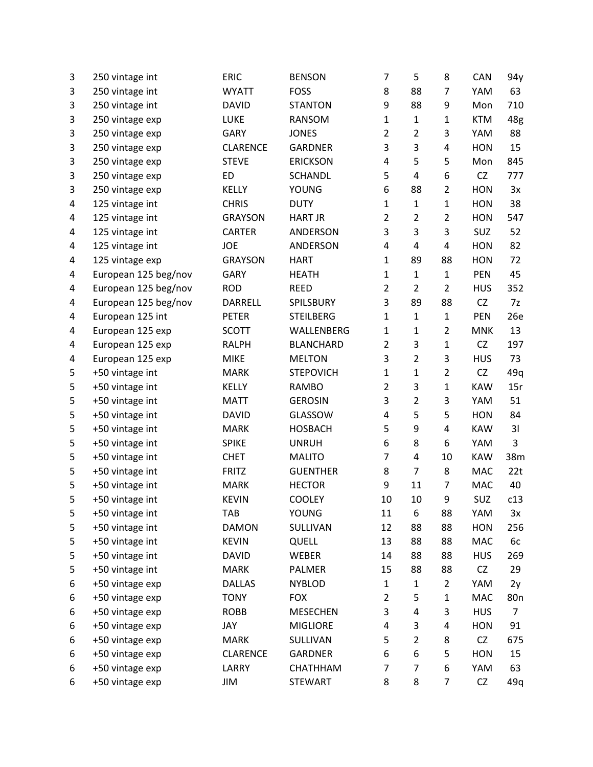| 3 | 250 vintage int      | <b>ERIC</b>     | <b>BENSON</b>    | 7              | 5              | 8              | CAN        | 94y             |
|---|----------------------|-----------------|------------------|----------------|----------------|----------------|------------|-----------------|
| 3 | 250 vintage int      | <b>WYATT</b>    | <b>FOSS</b>      | 8              | 88             | 7              | YAM        | 63              |
| 3 | 250 vintage int      | <b>DAVID</b>    | <b>STANTON</b>   | 9              | 88             | 9              | Mon        | 710             |
| 3 | 250 vintage exp      | LUKE            | <b>RANSOM</b>    | $\mathbf{1}$   | $\mathbf{1}$   | 1              | <b>KTM</b> | 48g             |
| 3 | 250 vintage exp      | <b>GARY</b>     | <b>JONES</b>     | $\overline{2}$ | $\overline{2}$ | 3              | YAM        | 88              |
| 3 | 250 vintage exp      | <b>CLARENCE</b> | <b>GARDNER</b>   | 3              | 3              | 4              | <b>HON</b> | 15              |
| 3 | 250 vintage exp      | <b>STEVE</b>    | <b>ERICKSON</b>  | 4              | 5              | 5              | Mon        | 845             |
| 3 | 250 vintage exp      | <b>ED</b>       | <b>SCHANDL</b>   | 5              | 4              | 6              | CZ         | 777             |
| 3 | 250 vintage exp      | KELLY           | <b>YOUNG</b>     | 6              | 88             | $\overline{2}$ | <b>HON</b> | 3x              |
| 4 | 125 vintage int      | <b>CHRIS</b>    | <b>DUTY</b>      | $\mathbf 1$    | $\mathbf{1}$   | $\mathbf{1}$   | <b>HON</b> | 38              |
| 4 | 125 vintage int      | <b>GRAYSON</b>  | <b>HART JR</b>   | $\overline{2}$ | $\overline{2}$ | $\overline{2}$ | <b>HON</b> | 547             |
| 4 | 125 vintage int      | CARTER          | ANDERSON         | 3              | 3              | 3              | SUZ        | 52              |
| 4 | 125 vintage int      | JOE             | ANDERSON         | 4              | 4              | 4              | <b>HON</b> | 82              |
| 4 | 125 vintage exp      | <b>GRAYSON</b>  | <b>HART</b>      | 1              | 89             | 88             | <b>HON</b> | 72              |
| 4 | European 125 beg/nov | <b>GARY</b>     | <b>HEATH</b>     | $\mathbf{1}$   | $\mathbf{1}$   | $\mathbf{1}$   | <b>PEN</b> | 45              |
| 4 | European 125 beg/nov | <b>ROD</b>      | <b>REED</b>      | $\overline{2}$ | $\overline{2}$ | $\overline{2}$ | <b>HUS</b> | 352             |
| 4 | European 125 beg/nov | DARRELL         | SPILSBURY        | 3              | 89             | 88             | <b>CZ</b>  | 7z              |
| 4 | European 125 int     | <b>PETER</b>    | <b>STEILBERG</b> | $\mathbf{1}$   | $\mathbf{1}$   | $\mathbf{1}$   | PEN        | 26e             |
| 4 | European 125 exp     | <b>SCOTT</b>    | WALLENBERG       | $\mathbf{1}$   | $\mathbf{1}$   | $\overline{2}$ | <b>MNK</b> | 13              |
| 4 | European 125 exp     | <b>RALPH</b>    | <b>BLANCHARD</b> | $\overline{2}$ | 3              | $\mathbf 1$    | <b>CZ</b>  | 197             |
| 4 | European 125 exp     | <b>MIKE</b>     | <b>MELTON</b>    | 3              | $\overline{2}$ | 3              | <b>HUS</b> | 73              |
| 5 | +50 vintage int      | <b>MARK</b>     | <b>STEPOVICH</b> | $\mathbf{1}$   | $\mathbf{1}$   | $\overline{2}$ | <b>CZ</b>  | 49q             |
| 5 | +50 vintage int      | KELLY           | <b>RAMBO</b>     | $\overline{2}$ | 3              | $\mathbf{1}$   | <b>KAW</b> | 15r             |
| 5 | +50 vintage int      | <b>MATT</b>     | <b>GEROSIN</b>   | 3              | $\overline{2}$ | 3              | YAM        | 51              |
| 5 | +50 vintage int      | <b>DAVID</b>    | GLASSOW          | 4              | 5              | 5              | <b>HON</b> | 84              |
| 5 | +50 vintage int      | <b>MARK</b>     | <b>HOSBACH</b>   | 5              | 9              | 4              | <b>KAW</b> | 31              |
| 5 | +50 vintage int      | <b>SPIKE</b>    | <b>UNRUH</b>     | 6              | 8              | 6              | YAM        | 3               |
| 5 | +50 vintage int      | <b>CHET</b>     | <b>MALITO</b>    | $\overline{7}$ | 4              | 10             | <b>KAW</b> | 38m             |
| 5 | +50 vintage int      | <b>FRITZ</b>    | <b>GUENTHER</b>  | 8              | $\overline{7}$ | 8              | <b>MAC</b> | 22t             |
| 5 | +50 vintage int      | <b>MARK</b>     | <b>HECTOR</b>    | 9              | 11             | 7              | <b>MAC</b> | 40              |
| 5 | +50 vintage int      | <b>KEVIN</b>    | <b>COOLEY</b>    | 10             | 10             | 9              | SUZ        | c13             |
| 5 | +50 vintage int      | <b>TAB</b>      | <b>YOUNG</b>     | 11             | 6              | 88             | YAM        | 3x              |
| 5 | +50 vintage int      | <b>DAMON</b>    | SULLIVAN         | 12             | 88             | 88             | <b>HON</b> | 256             |
| 5 | +50 vintage int      | <b>KEVIN</b>    | QUELL            | 13             | 88             | 88             | MAC        | 6c              |
| 5 | +50 vintage int      | <b>DAVID</b>    | WEBER            | 14             | 88             | 88             | <b>HUS</b> | 269             |
| 5 | +50 vintage int      | <b>MARK</b>     | PALMER           | 15             | 88             | 88             | CZ         | 29              |
| 6 | +50 vintage exp      | <b>DALLAS</b>   | <b>NYBLOD</b>    | 1              | $\mathbf{1}$   | $\overline{2}$ | YAM        | 2y              |
| 6 | +50 vintage exp      | <b>TONY</b>     | <b>FOX</b>       | $\overline{2}$ | 5              | $\mathbf 1$    | MAC        | 80 <sub>n</sub> |
| 6 | +50 vintage exp      | <b>ROBB</b>     | <b>MESECHEN</b>  | 3              | 4              | 3              | <b>HUS</b> | 7               |
| 6 | +50 vintage exp      | JAY             | <b>MIGLIORE</b>  | 4              | 3              | 4              | <b>HON</b> | 91              |
| 6 | +50 vintage exp      | <b>MARK</b>     | SULLIVAN         | 5              | $\overline{2}$ | 8              | <b>CZ</b>  | 675             |
| 6 | +50 vintage exp      | <b>CLARENCE</b> | <b>GARDNER</b>   | 6              | 6              | 5              | <b>HON</b> | 15              |
| 6 | +50 vintage exp      | LARRY           | CHATHHAM         | $\overline{7}$ | 7              | 6              | YAM        | 63              |
| 6 | +50 vintage exp      | JIM             | <b>STEWART</b>   | 8              | 8              | 7              | CZ         | 49q             |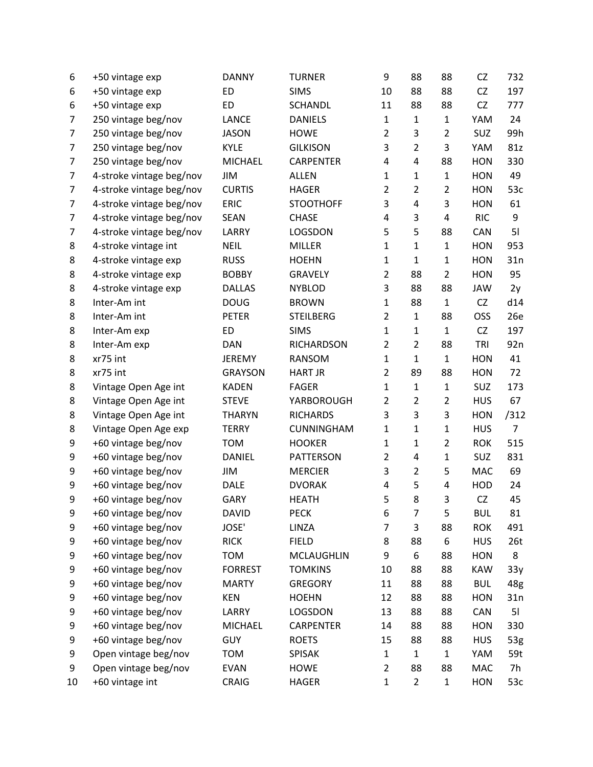| 6              | +50 vintage exp          | <b>DANNY</b>   | <b>TURNER</b>     | 9              | 88             | 88             | CZ         | 732             |
|----------------|--------------------------|----------------|-------------------|----------------|----------------|----------------|------------|-----------------|
| 6              | +50 vintage exp          | <b>ED</b>      | <b>SIMS</b>       | 10             | 88             | 88             | CZ         | 197             |
| 6              | +50 vintage exp          | <b>ED</b>      | <b>SCHANDL</b>    | 11             | 88             | 88             | CZ         | 777             |
| 7              | 250 vintage beg/nov      | <b>LANCE</b>   | <b>DANIELS</b>    | $\mathbf{1}$   | $\mathbf{1}$   | $\mathbf{1}$   | YAM        | 24              |
| $\overline{7}$ | 250 vintage beg/nov      | <b>JASON</b>   | <b>HOWE</b>       | $\overline{2}$ | 3              | $\overline{2}$ | <b>SUZ</b> | 99h             |
| $\overline{7}$ | 250 vintage beg/nov      | <b>KYLE</b>    | <b>GILKISON</b>   | 3              | $\overline{2}$ | 3              | YAM        | 81z             |
| 7              | 250 vintage beg/nov      | MICHAEL        | <b>CARPENTER</b>  | 4              | $\overline{4}$ | 88             | <b>HON</b> | 330             |
| 7              | 4-stroke vintage beg/nov | JIM            | <b>ALLEN</b>      | $\mathbf{1}$   | $\mathbf{1}$   | $\mathbf{1}$   | <b>HON</b> | 49              |
| $\overline{7}$ | 4-stroke vintage beg/nov | <b>CURTIS</b>  | <b>HAGER</b>      | $\overline{2}$ | $\overline{2}$ | $\overline{2}$ | <b>HON</b> | 53c             |
| 7              | 4-stroke vintage beg/nov | <b>ERIC</b>    | <b>STOOTHOFF</b>  | 3              | $\overline{4}$ | 3              | <b>HON</b> | 61              |
| 7              | 4-stroke vintage beg/nov | <b>SEAN</b>    | <b>CHASE</b>      | 4              | 3              | 4              | <b>RIC</b> | 9               |
| 7              | 4-stroke vintage beg/nov | LARRY          | LOGSDON           | 5              | 5              | 88             | CAN        | 51              |
| 8              | 4-stroke vintage int     | <b>NEIL</b>    | <b>MILLER</b>     | $\mathbf{1}$   | $\mathbf{1}$   | $\mathbf{1}$   | <b>HON</b> | 953             |
| 8              | 4-stroke vintage exp     | <b>RUSS</b>    | <b>HOEHN</b>      | $\mathbf{1}$   | $\mathbf{1}$   | $\mathbf{1}$   | <b>HON</b> | 31n             |
| 8              | 4-stroke vintage exp     | <b>BOBBY</b>   | <b>GRAVELY</b>    | $\overline{2}$ | 88             | $\overline{2}$ | <b>HON</b> | 95              |
| 8              | 4-stroke vintage exp     | <b>DALLAS</b>  | <b>NYBLOD</b>     | 3              | 88             | 88             | JAW        | 2y              |
| 8              | Inter-Am int             | <b>DOUG</b>    | <b>BROWN</b>      | $\mathbf 1$    | 88             | $\mathbf{1}$   | CZ         | d14             |
| 8              | Inter-Am int             | <b>PETER</b>   | <b>STEILBERG</b>  | $\overline{2}$ | $\mathbf{1}$   | 88             | OSS        | 26e             |
| 8              | Inter-Am exp             | <b>ED</b>      | <b>SIMS</b>       | $\mathbf{1}$   | $\mathbf{1}$   | $\mathbf{1}$   | <b>CZ</b>  | 197             |
| 8              | Inter-Am exp             | <b>DAN</b>     | <b>RICHARDSON</b> | $\overline{2}$ | $\overline{2}$ | 88             | TRI        | 92 <sub>n</sub> |
| 8              | xr75 int                 | <b>JEREMY</b>  | RANSOM            | $\mathbf 1$    | $\mathbf{1}$   | $\mathbf{1}$   | <b>HON</b> | 41              |
| 8              | xr75 int                 | <b>GRAYSON</b> | <b>HART JR</b>    | $\overline{2}$ | 89             | 88             | <b>HON</b> | 72              |
| 8              | Vintage Open Age int     | <b>KADEN</b>   | <b>FAGER</b>      | $\mathbf{1}$   | $\mathbf{1}$   | $\mathbf{1}$   | SUZ        | 173             |
| 8              | Vintage Open Age int     | <b>STEVE</b>   | YARBOROUGH        | $\overline{2}$ | $\overline{2}$ | $\overline{2}$ | <b>HUS</b> | 67              |
| 8              | Vintage Open Age int     | <b>THARYN</b>  | <b>RICHARDS</b>   | 3              | 3              | 3              | <b>HON</b> | /312            |
| 8              | Vintage Open Age exp     | <b>TERRY</b>   | CUNNINGHAM        | $\mathbf{1}$   | $\mathbf{1}$   | $\mathbf{1}$   | <b>HUS</b> | $\overline{7}$  |
| 9              | +60 vintage beg/nov      | <b>TOM</b>     | <b>HOOKER</b>     | $\mathbf 1$    | $\mathbf{1}$   | $\overline{2}$ | <b>ROK</b> | 515             |
| 9              | +60 vintage beg/nov      | <b>DANIEL</b>  | <b>PATTERSON</b>  | $\overline{2}$ | 4              | $\mathbf 1$    | SUZ        | 831             |
| 9              | +60 vintage beg/nov      | JIM            | <b>MERCIER</b>    | 3              | $\overline{2}$ | 5              | MAC        | 69              |
| 9              | +60 vintage beg/nov      | <b>DALE</b>    | <b>DVORAK</b>     | 4              | 5              | 4              | HOD        | 24              |
| 9              | +60 vintage beg/nov      | <b>GARY</b>    | <b>HEATH</b>      | 5              | 8              | 3              | CZ         | 45              |
| 9              | +60 vintage beg/nov      | <b>DAVID</b>   | <b>PECK</b>       | 6              | 7              | 5              | <b>BUL</b> | 81              |
| 9              | +60 vintage beg/nov      | JOSE'          | LINZA             | 7              | 3              | 88             | <b>ROK</b> | 491             |
| 9              | +60 vintage beg/nov      | <b>RICK</b>    | <b>FIELD</b>      | 8              | 88             | 6              | <b>HUS</b> | 26 <sub>t</sub> |
| 9              | +60 vintage beg/nov      | <b>TOM</b>     | MCLAUGHLIN        | 9              | 6              | 88             | <b>HON</b> | 8               |
| 9              | +60 vintage beg/nov      | <b>FORREST</b> | <b>TOMKINS</b>    | 10             | 88             | 88             | <b>KAW</b> | 33y             |
| 9              | +60 vintage beg/nov      | <b>MARTY</b>   | <b>GREGORY</b>    | 11             | 88             | 88             | <b>BUL</b> | 48g             |
| 9              | +60 vintage beg/nov      | <b>KEN</b>     | <b>HOEHN</b>      | 12             | 88             | 88             | <b>HON</b> | 31n             |
| 9              | +60 vintage beg/nov      | LARRY          | LOGSDON           | 13             | 88             | 88             | CAN        | 51              |
| 9              | +60 vintage beg/nov      | <b>MICHAEL</b> | CARPENTER         | 14             | 88             | 88             | <b>HON</b> | 330             |
| 9              | +60 vintage beg/nov      | <b>GUY</b>     | <b>ROETS</b>      | 15             | 88             | 88             | <b>HUS</b> | 53g             |
| 9              | Open vintage beg/nov     | <b>TOM</b>     | <b>SPISAK</b>     | $\mathbf{1}$   | $\mathbf{1}$   | $\mathbf{1}$   | YAM        | 59t             |
| 9              | Open vintage beg/nov     | <b>EVAN</b>    | <b>HOWE</b>       | $\overline{2}$ | 88             | 88             | MAC        | 7h              |
| 10             | +60 vintage int          | CRAIG          | <b>HAGER</b>      | $\mathbf 1$    | $\overline{2}$ | $\mathbf{1}$   | <b>HON</b> | 53c             |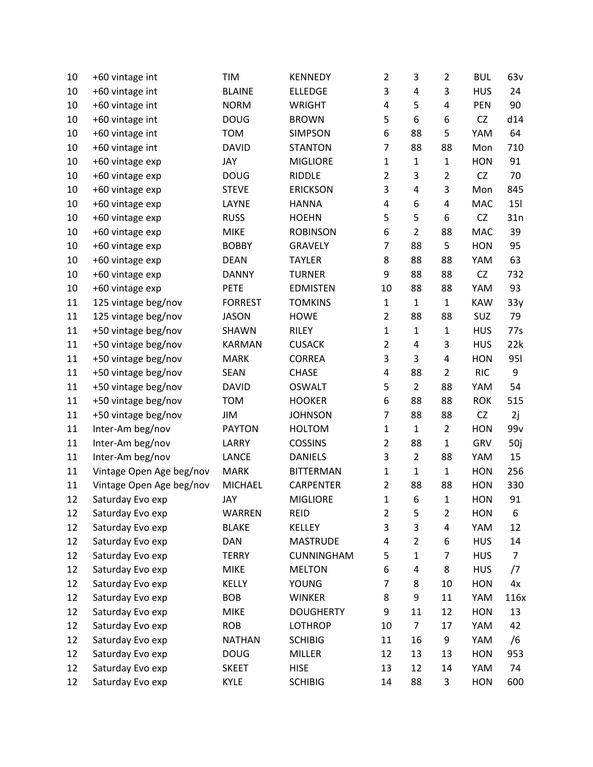| 10 | +60 vintage int          | TIM            | <b>KENNEDY</b>   | $\overline{2}$ | 3                       | $\overline{2}$ | <b>BUL</b> | 63v            |
|----|--------------------------|----------------|------------------|----------------|-------------------------|----------------|------------|----------------|
| 10 | +60 vintage int          | <b>BLAINE</b>  | <b>ELLEDGE</b>   | 3              | 4                       | 3              | <b>HUS</b> | 24             |
| 10 | +60 vintage int          | <b>NORM</b>    | <b>WRIGHT</b>    | 4              | 5                       | 4              | <b>PEN</b> | 90             |
| 10 | +60 vintage int          | <b>DOUG</b>    | <b>BROWN</b>     | 5              | 6                       | 6              | <b>CZ</b>  | d14            |
| 10 | +60 vintage int          | <b>TOM</b>     | <b>SIMPSON</b>   | 6              | 88                      | 5              | YAM        | 64             |
| 10 | +60 vintage int          | <b>DAVID</b>   | <b>STANTON</b>   | $\overline{7}$ | 88                      | 88             | Mon        | 710            |
| 10 | +60 vintage exp          | JAY            | <b>MIGLIORE</b>  | $\mathbf{1}$   | $\mathbf{1}$            | $\mathbf{1}$   | <b>HON</b> | 91             |
| 10 | +60 vintage exp          | <b>DOUG</b>    | <b>RIDDLE</b>    | $\overline{2}$ | 3                       | $\overline{2}$ | CZ         | 70             |
| 10 | +60 vintage exp          | <b>STEVE</b>   | <b>ERICKSON</b>  | 3              | 4                       | 3              | Mon        | 845            |
| 10 | +60 vintage exp          | LAYNE          | <b>HANNA</b>     | 4              | 6                       | 4              | MAC        | <b>15l</b>     |
| 10 | +60 vintage exp          | <b>RUSS</b>    | <b>HOEHN</b>     | 5              | 5                       | 6              | <b>CZ</b>  | 31n            |
| 10 | +60 vintage exp          | <b>MIKE</b>    | <b>ROBINSON</b>  | 6              | $\overline{2}$          | 88             | MAC        | 39             |
| 10 | +60 vintage exp          | <b>BOBBY</b>   | GRAVELY          | $\overline{7}$ | 88                      | 5              | <b>HON</b> | 95             |
| 10 | +60 vintage exp          | <b>DEAN</b>    | <b>TAYLER</b>    | 8              | 88                      | 88             | YAM        | 63             |
| 10 | +60 vintage exp          | <b>DANNY</b>   | <b>TURNER</b>    | 9              | 88                      | 88             | CZ         | 732            |
| 10 | +60 vintage exp          | <b>PETE</b>    | <b>EDMISTEN</b>  | 10             | 88                      | 88             | YAM        | 93             |
| 11 | 125 vintage beg/nov      | <b>FORREST</b> | <b>TOMKINS</b>   | $\mathbf{1}$   | $\mathbf{1}$            | $\mathbf{1}$   | <b>KAW</b> | 33y            |
| 11 | 125 vintage beg/nov      | <b>JASON</b>   | <b>HOWE</b>      | $\overline{2}$ | 88                      | 88             | SUZ        | 79             |
| 11 | +50 vintage beg/nov      | SHAWN          | RILEY            | $\mathbf 1$    | $\mathbf 1$             | $\mathbf{1}$   | <b>HUS</b> | 77s            |
| 11 | +50 vintage beg/nov      | <b>KARMAN</b>  | <b>CUSACK</b>    | $\overline{2}$ | $\overline{\mathbf{4}}$ | 3              | <b>HUS</b> | 22k            |
| 11 | +50 vintage beg/nov      | <b>MARK</b>    | <b>CORREA</b>    | 3              | 3                       | 4              | <b>HON</b> | <b>951</b>     |
| 11 | +50 vintage beg/nov      | <b>SEAN</b>    | <b>CHASE</b>     | 4              | 88                      | $\overline{2}$ | <b>RIC</b> | 9              |
| 11 | +50 vintage beg/nov      | <b>DAVID</b>   | <b>OSWALT</b>    | 5              | $\overline{2}$          | 88             | YAM        | 54             |
| 11 | +50 vintage beg/nov      | <b>TOM</b>     | <b>HOOKER</b>    | 6              | 88                      | 88             | <b>ROK</b> | 515            |
| 11 | +50 vintage beg/nov      | JIM            | <b>JOHNSON</b>   | $\overline{7}$ | 88                      | 88             | CZ         | 2j             |
| 11 | Inter-Am beg/nov         | <b>PAYTON</b>  | <b>HOLTOM</b>    | $\mathbf{1}$   | $\mathbf{1}$            | $\overline{2}$ | <b>HON</b> | 99v            |
| 11 | Inter-Am beg/nov         | LARRY          | <b>COSSINS</b>   | $\overline{2}$ | 88                      | $\mathbf{1}$   | GRV        | 50j            |
| 11 | Inter-Am beg/nov         | <b>LANCE</b>   | <b>DANIELS</b>   | 3              | $\overline{2}$          | 88             | YAM        | 15             |
| 11 | Vintage Open Age beg/nov | <b>MARK</b>    | <b>BITTERMAN</b> | $\mathbf{1}$   | $\mathbf 1$             | $\mathbf 1$    | <b>HON</b> | 256            |
| 11 | Vintage Open Age beg/nov | <b>MICHAEL</b> | CARPENTER        | $\overline{2}$ | 88                      | 88             | <b>HON</b> | 330            |
| 12 | Saturday Evo exp         | JAY            | <b>MIGLIORE</b>  | 1              | 6                       | $\mathbf{1}$   | <b>HON</b> | 91             |
| 12 | Saturday Evo exp         | <b>WARREN</b>  | <b>REID</b>      | $\overline{2}$ | 5                       | $\overline{2}$ | <b>HON</b> | 6              |
| 12 | Saturday Evo exp         | <b>BLAKE</b>   | KELLEY           | 3              | 3                       | 4              | YAM        | 12             |
| 12 | Saturday Evo exp         | <b>DAN</b>     | <b>MASTRUDE</b>  | 4              | $\overline{2}$          | 6              | <b>HUS</b> | 14             |
| 12 | Saturday Evo exp         | <b>TERRY</b>   | CUNNINGHAM       | 5              | $\mathbf{1}$            | 7              | <b>HUS</b> | $\overline{7}$ |
| 12 | Saturday Evo exp         | <b>MIKE</b>    | <b>MELTON</b>    | 6              | $\pmb{4}$               | 8              | <b>HUS</b> | /7             |
| 12 | Saturday Evo exp         | KELLY          | <b>YOUNG</b>     | 7              | 8                       | 10             | <b>HON</b> | 4x             |
| 12 | Saturday Evo exp         | <b>BOB</b>     | <b>WINKER</b>    | 8              | 9                       | 11             | YAM        | 116x           |
| 12 | Saturday Evo exp         | <b>MIKE</b>    | <b>DOUGHERTY</b> | 9              | 11                      | 12             | <b>HON</b> | 13             |
| 12 | Saturday Evo exp         | <b>ROB</b>     | <b>LOTHROP</b>   | 10             | $\overline{7}$          | 17             | YAM        | 42             |
| 12 | Saturday Evo exp         | <b>NATHAN</b>  | <b>SCHIBIG</b>   | 11             | 16                      | 9              | YAM        | /6             |
| 12 | Saturday Evo exp         | <b>DOUG</b>    | <b>MILLER</b>    | 12             | 13                      | 13             | <b>HON</b> | 953            |
| 12 | Saturday Evo exp         | <b>SKEET</b>   | <b>HISE</b>      | 13             | 12                      | 14             | YAM        | 74             |
| 12 | Saturday Evo exp         | <b>KYLE</b>    | <b>SCHIBIG</b>   | 14             | 88                      | 3              | <b>HON</b> | 600            |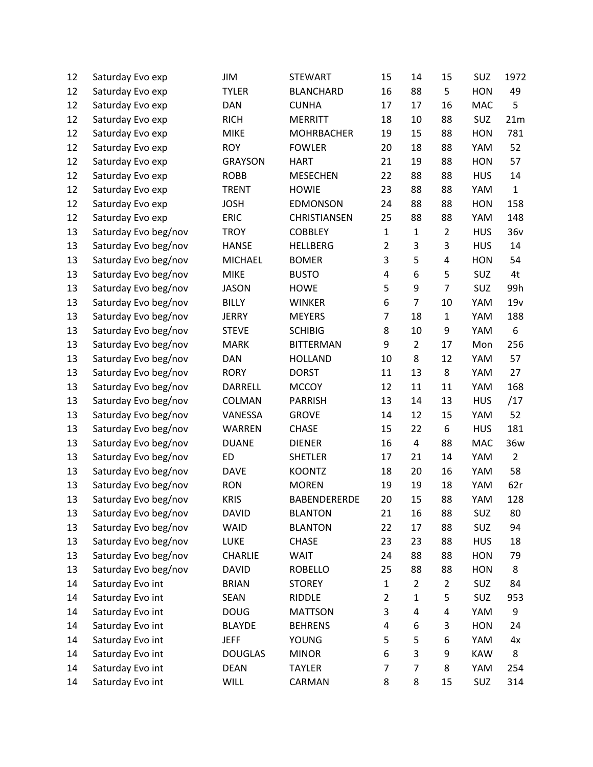| 12 | Saturday Evo exp     | JIM            | <b>STEWART</b>      | 15             | 14             | 15             | SUZ        | 1972           |
|----|----------------------|----------------|---------------------|----------------|----------------|----------------|------------|----------------|
| 12 | Saturday Evo exp     | <b>TYLER</b>   | <b>BLANCHARD</b>    | 16             | 88             | 5              | <b>HON</b> | 49             |
| 12 | Saturday Evo exp     | <b>DAN</b>     | <b>CUNHA</b>        | 17             | 17             | 16             | <b>MAC</b> | 5              |
| 12 | Saturday Evo exp     | <b>RICH</b>    | <b>MERRITT</b>      | 18             | 10             | 88             | SUZ        | 21m            |
| 12 | Saturday Evo exp     | <b>MIKE</b>    | <b>MOHRBACHER</b>   | 19             | 15             | 88             | <b>HON</b> | 781            |
| 12 | Saturday Evo exp     | <b>ROY</b>     | <b>FOWLER</b>       | 20             | 18             | 88             | YAM        | 52             |
| 12 | Saturday Evo exp     | <b>GRAYSON</b> | <b>HART</b>         | 21             | 19             | 88             | <b>HON</b> | 57             |
| 12 | Saturday Evo exp     | <b>ROBB</b>    | <b>MESECHEN</b>     | 22             | 88             | 88             | <b>HUS</b> | 14             |
| 12 | Saturday Evo exp     | <b>TRENT</b>   | <b>HOWIE</b>        | 23             | 88             | 88             | YAM        | $\mathbf{1}$   |
| 12 | Saturday Evo exp     | <b>JOSH</b>    | <b>EDMONSON</b>     | 24             | 88             | 88             | <b>HON</b> | 158            |
| 12 | Saturday Evo exp     | <b>ERIC</b>    | CHRISTIANSEN        | 25             | 88             | 88             | YAM        | 148            |
| 13 | Saturday Evo beg/nov | <b>TROY</b>    | <b>COBBLEY</b>      | $\mathbf{1}$   | $\mathbf{1}$   | $\overline{2}$ | <b>HUS</b> | 36v            |
| 13 | Saturday Evo beg/nov | <b>HANSE</b>   | <b>HELLBERG</b>     | $\overline{2}$ | 3              | 3              | <b>HUS</b> | 14             |
| 13 | Saturday Evo beg/nov | <b>MICHAEL</b> | <b>BOMER</b>        | 3              | 5              | 4              | <b>HON</b> | 54             |
| 13 | Saturday Evo beg/nov | <b>MIKE</b>    | <b>BUSTO</b>        | 4              | 6              | 5              | SUZ        | 4t             |
| 13 | Saturday Evo beg/nov | <b>JASON</b>   | <b>HOWE</b>         | 5              | 9              | $\overline{7}$ | SUZ        | 99h            |
| 13 | Saturday Evo beg/nov | <b>BILLY</b>   | <b>WINKER</b>       | 6              | $\overline{7}$ | 10             | YAM        | 19v            |
| 13 | Saturday Evo beg/nov | <b>JERRY</b>   | <b>MEYERS</b>       | 7              | 18             | $\mathbf{1}$   | YAM        | 188            |
| 13 | Saturday Evo beg/nov | <b>STEVE</b>   | <b>SCHIBIG</b>      | 8              | 10             | 9              | YAM        | 6              |
| 13 | Saturday Evo beg/nov | <b>MARK</b>    | <b>BITTERMAN</b>    | 9              | $\overline{2}$ | 17             | Mon        | 256            |
| 13 | Saturday Evo beg/nov | <b>DAN</b>     | <b>HOLLAND</b>      | 10             | 8              | 12             | YAM        | 57             |
| 13 | Saturday Evo beg/nov | <b>RORY</b>    | <b>DORST</b>        | 11             | 13             | 8              | YAM        | 27             |
| 13 | Saturday Evo beg/nov | DARRELL        | <b>MCCOY</b>        | 12             | 11             | 11             | YAM        | 168            |
| 13 | Saturday Evo beg/nov | COLMAN         | <b>PARRISH</b>      | 13             | 14             | 13             | <b>HUS</b> | /17            |
| 13 | Saturday Evo beg/nov | VANESSA        | <b>GROVE</b>        | 14             | 12             | 15             | YAM        | 52             |
| 13 | Saturday Evo beg/nov | WARREN         | <b>CHASE</b>        | 15             | 22             | 6              | <b>HUS</b> | 181            |
| 13 | Saturday Evo beg/nov | <b>DUANE</b>   | <b>DIENER</b>       | 16             | 4              | 88             | MAC        | 36w            |
| 13 | Saturday Evo beg/nov | <b>ED</b>      | <b>SHETLER</b>      | 17             | 21             | 14             | YAM        | $\overline{2}$ |
| 13 | Saturday Evo beg/nov | <b>DAVE</b>    | <b>KOONTZ</b>       | 18             | 20             | 16             | YAM        | 58             |
| 13 | Saturday Evo beg/nov | <b>RON</b>     | <b>MOREN</b>        | 19             | 19             | 18             | YAM        | 62r            |
| 13 | Saturday Evo beg/nov | <b>KRIS</b>    | <b>BABENDERERDE</b> | 20             | 15             | 88             | YAM        | 128            |
| 13 | Saturday Evo beg/nov | <b>DAVID</b>   | <b>BLANTON</b>      | 21             | 16             | 88             | SUZ        | 80             |
| 13 | Saturday Evo beg/nov | WAID           | <b>BLANTON</b>      | 22             | 17             | 88             | SUZ        | 94             |
| 13 | Saturday Evo beg/nov | LUKE           | <b>CHASE</b>        | 23             | 23             | 88             | <b>HUS</b> | 18             |
| 13 | Saturday Evo beg/nov | <b>CHARLIE</b> | WAIT                | 24             | 88             | 88             | <b>HON</b> | 79             |
| 13 | Saturday Evo beg/nov | <b>DAVID</b>   | <b>ROBELLO</b>      | 25             | 88             | 88             | <b>HON</b> | 8              |
| 14 | Saturday Evo int     | <b>BRIAN</b>   | <b>STOREY</b>       | $\mathbf{1}$   | $\overline{2}$ | $\overline{2}$ | SUZ        | 84             |
| 14 | Saturday Evo int     | <b>SEAN</b>    | RIDDLE              | $\overline{2}$ | $\mathbf 1$    | 5              | SUZ        | 953            |
| 14 | Saturday Evo int     | <b>DOUG</b>    | <b>MATTSON</b>      | 3              | 4              | 4              | YAM        | 9              |
| 14 | Saturday Evo int     | <b>BLAYDE</b>  | <b>BEHRENS</b>      | 4              | 6              | 3              | <b>HON</b> | 24             |
| 14 | Saturday Evo int     | <b>JEFF</b>    | <b>YOUNG</b>        | 5              | 5              | 6              | YAM        | 4x             |
| 14 | Saturday Evo int     | <b>DOUGLAS</b> | <b>MINOR</b>        | 6              | 3              | 9              | <b>KAW</b> | 8              |
| 14 | Saturday Evo int     | <b>DEAN</b>    | <b>TAYLER</b>       | 7              | $\overline{7}$ | 8              | YAM        | 254            |
| 14 | Saturday Evo int     | <b>WILL</b>    | CARMAN              | 8              | 8              | 15             | SUZ        | 314            |
|    |                      |                |                     |                |                |                |            |                |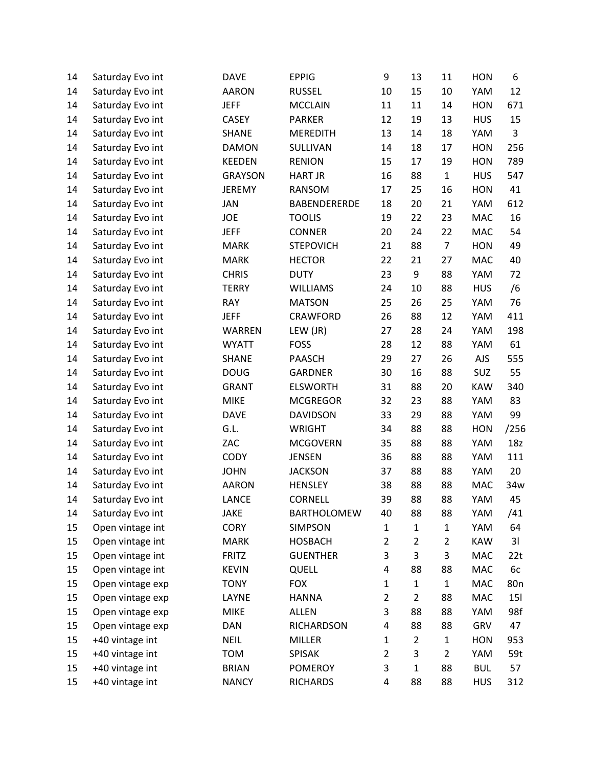| 14 | Saturday Evo int | <b>DAVE</b>    | <b>EPPIG</b>        | 9              | 13             | 11             | <b>HON</b> | 6               |
|----|------------------|----------------|---------------------|----------------|----------------|----------------|------------|-----------------|
| 14 | Saturday Evo int | <b>AARON</b>   | <b>RUSSEL</b>       | 10             | 15             | 10             | YAM        | 12              |
| 14 | Saturday Evo int | <b>JEFF</b>    | <b>MCCLAIN</b>      | 11             | 11             | 14             | <b>HON</b> | 671             |
| 14 | Saturday Evo int | <b>CASEY</b>   | <b>PARKER</b>       | 12             | 19             | 13             | <b>HUS</b> | 15              |
| 14 | Saturday Evo int | <b>SHANE</b>   | <b>MEREDITH</b>     | 13             | 14             | 18             | YAM        | $\overline{3}$  |
| 14 | Saturday Evo int | <b>DAMON</b>   | SULLIVAN            | 14             | 18             | 17             | <b>HON</b> | 256             |
| 14 | Saturday Evo int | <b>KEEDEN</b>  | <b>RENION</b>       | 15             | 17             | 19             | <b>HON</b> | 789             |
| 14 | Saturday Evo int | <b>GRAYSON</b> | <b>HART JR</b>      | 16             | 88             | $\mathbf{1}$   | <b>HUS</b> | 547             |
| 14 | Saturday Evo int | <b>JEREMY</b>  | RANSOM              | 17             | 25             | 16             | <b>HON</b> | 41              |
| 14 | Saturday Evo int | <b>JAN</b>     | <b>BABENDERERDE</b> | 18             | 20             | 21             | YAM        | 612             |
| 14 | Saturday Evo int | <b>JOE</b>     | <b>TOOLIS</b>       | 19             | 22             | 23             | <b>MAC</b> | 16              |
| 14 | Saturday Evo int | <b>JEFF</b>    | <b>CONNER</b>       | 20             | 24             | 22             | MAC        | 54              |
| 14 | Saturday Evo int | <b>MARK</b>    | <b>STEPOVICH</b>    | 21             | 88             | $\overline{7}$ | <b>HON</b> | 49              |
| 14 | Saturday Evo int | <b>MARK</b>    | <b>HECTOR</b>       | 22             | 21             | 27             | <b>MAC</b> | 40              |
| 14 | Saturday Evo int | <b>CHRIS</b>   | <b>DUTY</b>         | 23             | 9              | 88             | YAM        | 72              |
| 14 | Saturday Evo int | <b>TERRY</b>   | <b>WILLIAMS</b>     | 24             | 10             | 88             | <b>HUS</b> | /6              |
| 14 | Saturday Evo int | <b>RAY</b>     | <b>MATSON</b>       | 25             | 26             | 25             | YAM        | 76              |
| 14 | Saturday Evo int | <b>JEFF</b>    | <b>CRAWFORD</b>     | 26             | 88             | 12             | YAM        | 411             |
| 14 | Saturday Evo int | WARREN         | LEW (JR)            | 27             | 28             | 24             | YAM        | 198             |
| 14 | Saturday Evo int | <b>WYATT</b>   | <b>FOSS</b>         | 28             | 12             | 88             | YAM        | 61              |
| 14 | Saturday Evo int | <b>SHANE</b>   | <b>PAASCH</b>       | 29             | 27             | 26             | <b>AJS</b> | 555             |
| 14 | Saturday Evo int | <b>DOUG</b>    | <b>GARDNER</b>      | 30             | 16             | 88             | SUZ        | 55              |
| 14 | Saturday Evo int | <b>GRANT</b>   | <b>ELSWORTH</b>     | 31             | 88             | 20             | <b>KAW</b> | 340             |
| 14 | Saturday Evo int | <b>MIKE</b>    | <b>MCGREGOR</b>     | 32             | 23             | 88             | YAM        | 83              |
| 14 | Saturday Evo int | <b>DAVE</b>    | <b>DAVIDSON</b>     | 33             | 29             | 88             | YAM        | 99              |
| 14 | Saturday Evo int | G.L.           | <b>WRIGHT</b>       | 34             | 88             | 88             | <b>HON</b> | /256            |
| 14 | Saturday Evo int | ZAC            | <b>MCGOVERN</b>     | 35             | 88             | 88             | YAM        | 18z             |
| 14 | Saturday Evo int | <b>CODY</b>    | <b>JENSEN</b>       | 36             | 88             | 88             | YAM        | 111             |
| 14 | Saturday Evo int | <b>JOHN</b>    | <b>JACKSON</b>      | 37             | 88             | 88             | YAM        | 20              |
| 14 | Saturday Evo int | <b>AARON</b>   | <b>HENSLEY</b>      | 38             | 88             | 88             | <b>MAC</b> | 34w             |
| 14 | Saturday Evo int | <b>LANCE</b>   | <b>CORNELL</b>      | 39             | 88             | 88             | YAM        | 45              |
| 14 | Saturday Evo int | <b>JAKE</b>    | <b>BARTHOLOMEW</b>  | 40             | 88             | 88             | YAM        | /41             |
| 15 | Open vintage int | <b>CORY</b>    | <b>SIMPSON</b>      | $\mathbf 1$    | $\mathbf{1}$   | $\mathbf{1}$   | YAM        | 64              |
| 15 | Open vintage int | <b>MARK</b>    | <b>HOSBACH</b>      | $\overline{2}$ | $\overline{2}$ | $\overline{c}$ | <b>KAW</b> | 31              |
| 15 | Open vintage int | <b>FRITZ</b>   | <b>GUENTHER</b>     | 3              | 3              | 3              | <b>MAC</b> | 22t             |
| 15 | Open vintage int | <b>KEVIN</b>   | QUELL               | 4              | 88             | 88             | MAC        | 6c              |
| 15 | Open vintage exp | <b>TONY</b>    | <b>FOX</b>          | 1              | $\mathbf{1}$   | $\mathbf{1}$   | MAC        | 80 <sub>n</sub> |
| 15 | Open vintage exp | LAYNE          | <b>HANNA</b>        | $\overline{2}$ | $\overline{2}$ | 88             | MAC        | <b>151</b>      |
| 15 | Open vintage exp | <b>MIKE</b>    | <b>ALLEN</b>        | 3              | 88             | 88             | YAM        | 98f             |
| 15 | Open vintage exp | <b>DAN</b>     | <b>RICHARDSON</b>   | 4              | 88             | 88             | GRV        | 47              |
| 15 | +40 vintage int  | <b>NEIL</b>    | <b>MILLER</b>       | 1              | $\overline{2}$ | $\mathbf{1}$   | <b>HON</b> | 953             |
| 15 | +40 vintage int  | <b>TOM</b>     | <b>SPISAK</b>       | $\overline{2}$ | 3              | 2              | YAM        | 59t             |
| 15 | +40 vintage int  | <b>BRIAN</b>   | <b>POMEROY</b>      | 3              | $\mathbf{1}$   | 88             | <b>BUL</b> | 57              |
| 15 | +40 vintage int  | <b>NANCY</b>   | <b>RICHARDS</b>     | 4              | 88             | 88             | <b>HUS</b> | 312             |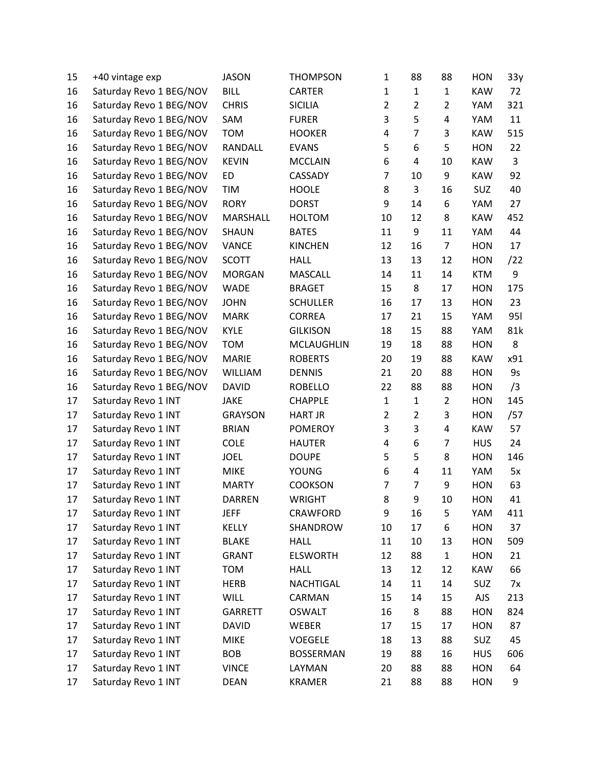| 15 | +40 vintage exp         | <b>JASON</b>   | <b>THOMPSON</b>  | 1              | 88                      | 88             | <b>HON</b> | 33y        |
|----|-------------------------|----------------|------------------|----------------|-------------------------|----------------|------------|------------|
| 16 | Saturday Revo 1 BEG/NOV | <b>BILL</b>    | <b>CARTER</b>    | $\mathbf{1}$   | $\mathbf{1}$            | $\mathbf{1}$   | <b>KAW</b> | 72         |
| 16 | Saturday Revo 1 BEG/NOV | <b>CHRIS</b>   | <b>SICILIA</b>   | $\overline{2}$ | $\overline{2}$          | $\overline{2}$ | YAM        | 321        |
| 16 | Saturday Revo 1 BEG/NOV | SAM            | <b>FURER</b>     | 3              | 5                       | 4              | YAM        | 11         |
| 16 | Saturday Revo 1 BEG/NOV | <b>TOM</b>     | <b>HOOKER</b>    | 4              | $\overline{7}$          | 3              | <b>KAW</b> | 515        |
| 16 | Saturday Revo 1 BEG/NOV | RANDALL        | <b>EVANS</b>     | 5              | 6                       | 5              | <b>HON</b> | 22         |
| 16 | Saturday Revo 1 BEG/NOV | <b>KEVIN</b>   | <b>MCCLAIN</b>   | 6              | $\overline{4}$          | 10             | <b>KAW</b> | 3          |
| 16 | Saturday Revo 1 BEG/NOV | ED             | CASSADY          | $\overline{7}$ | 10                      | 9              | <b>KAW</b> | 92         |
| 16 | Saturday Revo 1 BEG/NOV | TIM            | <b>HOOLE</b>     | 8              | 3                       | 16             | <b>SUZ</b> | 40         |
| 16 | Saturday Revo 1 BEG/NOV | <b>RORY</b>    | <b>DORST</b>     | 9              | 14                      | 6              | YAM        | 27         |
| 16 | Saturday Revo 1 BEG/NOV | MARSHALL       | <b>HOLTOM</b>    | 10             | 12                      | 8              | <b>KAW</b> | 452        |
| 16 | Saturday Revo 1 BEG/NOV | <b>SHAUN</b>   | <b>BATES</b>     | 11             | 9                       | 11             | YAM        | 44         |
| 16 | Saturday Revo 1 BEG/NOV | <b>VANCE</b>   | <b>KINCHEN</b>   | 12             | 16                      | $\overline{7}$ | <b>HON</b> | 17         |
| 16 | Saturday Revo 1 BEG/NOV | <b>SCOTT</b>   | <b>HALL</b>      | 13             | 13                      | 12             | <b>HON</b> | /22        |
| 16 | Saturday Revo 1 BEG/NOV | <b>MORGAN</b>  | <b>MASCALL</b>   | 14             | 11                      | 14             | <b>KTM</b> | 9          |
| 16 | Saturday Revo 1 BEG/NOV | <b>WADE</b>    | <b>BRAGET</b>    | 15             | 8                       | 17             | <b>HON</b> | 175        |
| 16 | Saturday Revo 1 BEG/NOV | <b>JOHN</b>    | <b>SCHULLER</b>  | 16             | 17                      | 13             | <b>HON</b> | 23         |
| 16 | Saturday Revo 1 BEG/NOV | <b>MARK</b>    | <b>CORREA</b>    | 17             | 21                      | 15             | YAM        | <b>951</b> |
| 16 | Saturday Revo 1 BEG/NOV | <b>KYLE</b>    | <b>GILKISON</b>  | 18             | 15                      | 88             | YAM        | 81k        |
| 16 | Saturday Revo 1 BEG/NOV | <b>TOM</b>     | MCLAUGHLIN       | 19             | 18                      | 88             | <b>HON</b> | 8          |
| 16 | Saturday Revo 1 BEG/NOV | <b>MARIE</b>   | <b>ROBERTS</b>   | 20             | 19                      | 88             | <b>KAW</b> | x91        |
| 16 | Saturday Revo 1 BEG/NOV | <b>WILLIAM</b> | <b>DENNIS</b>    | 21             | 20                      | 88             | <b>HON</b> | <b>9s</b>  |
| 16 | Saturday Revo 1 BEG/NOV | <b>DAVID</b>   | <b>ROBELLO</b>   | 22             | 88                      | 88             | <b>HON</b> | /3         |
| 17 | Saturday Revo 1 INT     | <b>JAKE</b>    | <b>CHAPPLE</b>   | $\mathbf{1}$   | $\mathbf{1}$            | $\overline{2}$ | <b>HON</b> | 145        |
| 17 | Saturday Revo 1 INT     | <b>GRAYSON</b> | <b>HART JR</b>   | $\overline{2}$ | $\overline{2}$          | 3              | <b>HON</b> | /57        |
| 17 | Saturday Revo 1 INT     | <b>BRIAN</b>   | <b>POMEROY</b>   | 3              | 3                       | 4              | <b>KAW</b> | 57         |
| 17 | Saturday Revo 1 INT     | <b>COLE</b>    | <b>HAUTER</b>    | 4              | 6                       | $\overline{7}$ | <b>HUS</b> | 24         |
| 17 | Saturday Revo 1 INT     | <b>JOEL</b>    | <b>DOUPE</b>     | 5              | 5                       | 8              | <b>HON</b> | 146        |
| 17 | Saturday Revo 1 INT     | <b>MIKE</b>    | <b>YOUNG</b>     | 6              | $\overline{\mathbf{4}}$ | 11             | YAM        | 5x         |
| 17 | Saturday Revo 1 INT     | <b>MARTY</b>   | <b>COOKSON</b>   | 7              | $\overline{7}$          | 9              | <b>HON</b> | 63         |
| 17 | Saturday Revo 1 INT     | <b>DARREN</b>  | <b>WRIGHT</b>    | 8              | 9                       | 10             | <b>HON</b> | 41         |
| 17 | Saturday Revo 1 INT     | <b>JEFF</b>    | CRAWFORD         | 9              | 16                      | 5              | YAM        | 411        |
| 17 | Saturday Revo 1 INT     | KELLY          | SHANDROW         | 10             | 17                      | 6              | <b>HON</b> | 37         |
| 17 | Saturday Revo 1 INT     | <b>BLAKE</b>   | <b>HALL</b>      | 11             | 10                      | 13             | <b>HON</b> | 509        |
| 17 | Saturday Revo 1 INT     | GRANT          | <b>ELSWORTH</b>  | 12             | 88                      | $\mathbf{1}$   | <b>HON</b> | 21         |
| 17 | Saturday Revo 1 INT     | <b>TOM</b>     | <b>HALL</b>      | 13             | 12                      | 12             | <b>KAW</b> | 66         |
| 17 | Saturday Revo 1 INT     | <b>HERB</b>    | NACHTIGAL        | 14             | 11                      | 14             | <b>SUZ</b> | 7x         |
| 17 | Saturday Revo 1 INT     | <b>WILL</b>    | CARMAN           | 15             | 14                      | 15             | <b>AJS</b> | 213        |
| 17 | Saturday Revo 1 INT     | GARRETT        | <b>OSWALT</b>    | 16             | 8                       | 88             | <b>HON</b> | 824        |
| 17 | Saturday Revo 1 INT     | <b>DAVID</b>   | WEBER            | 17             | 15                      | 17             | <b>HON</b> | 87         |
| 17 | Saturday Revo 1 INT     | <b>MIKE</b>    | <b>VOEGELE</b>   | 18             | 13                      | 88             | SUZ        | 45         |
| 17 | Saturday Revo 1 INT     | <b>BOB</b>     | <b>BOSSERMAN</b> | 19             | 88                      | 16             | <b>HUS</b> | 606        |
| 17 | Saturday Revo 1 INT     | <b>VINCE</b>   | LAYMAN           | 20             | 88                      | 88             | <b>HON</b> | 64         |
| 17 | Saturday Revo 1 INT     | <b>DEAN</b>    | <b>KRAMER</b>    | 21             | 88                      | 88             | <b>HON</b> | 9          |